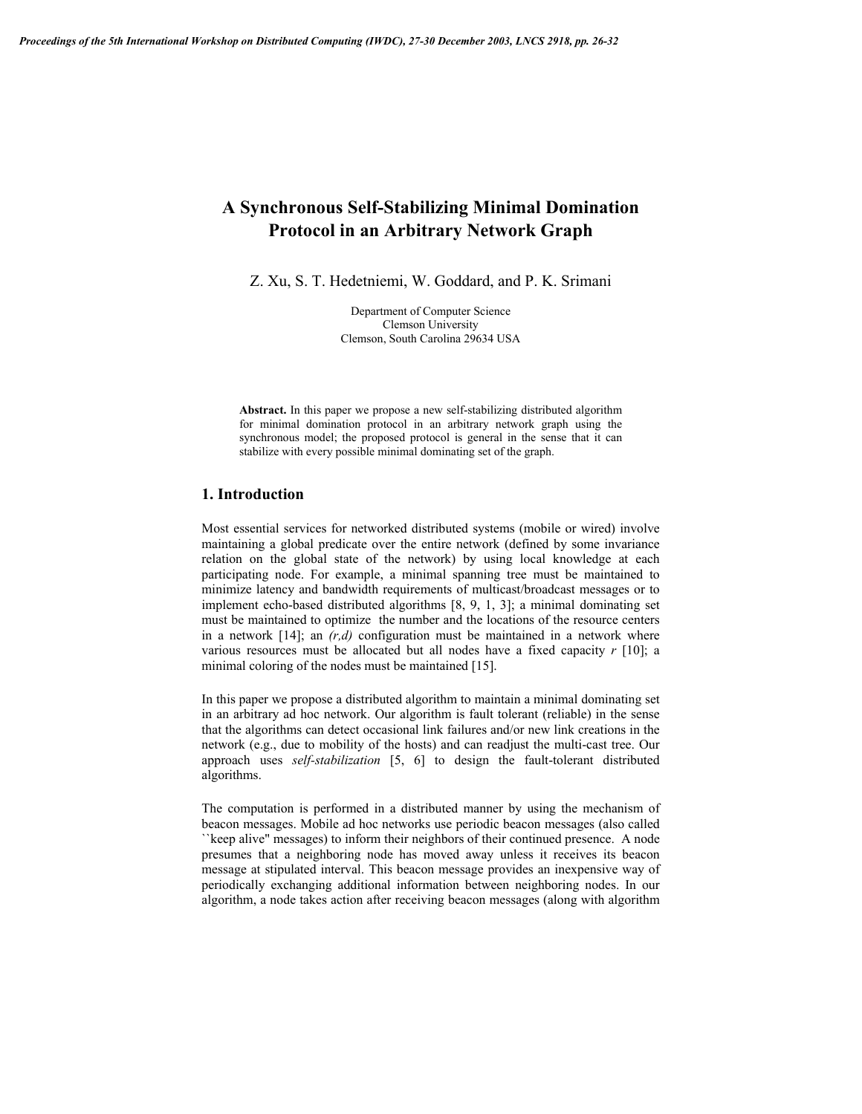# **A Synchronous Self-Stabilizing Minimal Domination Protocol in an Arbitrary Network Graph**

Z. Xu, S. T. Hedetniemi, W. Goddard, and P. K. Srimani

Department of Computer Science Clemson University Clemson, South Carolina 29634 USA

**Abstract.** In this paper we propose a new self-stabilizing distributed algorithm for minimal domination protocol in an arbitrary network graph using the synchronous model; the proposed protocol is general in the sense that it can stabilize with every possible minimal dominating set of the graph.

#### **1. Introduction**

Most essential services for networked distributed systems (mobile or wired) involve maintaining a global predicate over the entire network (defined by some invariance relation on the global state of the network) by using local knowledge at each participating node. For example, a minimal spanning tree must be maintained to minimize latency and bandwidth requirements of multicast/broadcast messages or to implement echo-based distributed algorithms [8, 9, 1, 3]; a minimal dominating set must be maintained to optimize the number and the locations of the resource centers in a network [14]; an *(r,d)* configuration must be maintained in a network where various resources must be allocated but all nodes have a fixed capacity *r* [10]; a minimal coloring of the nodes must be maintained [15].

In this paper we propose a distributed algorithm to maintain a minimal dominating set in an arbitrary ad hoc network. Our algorithm is fault tolerant (reliable) in the sense that the algorithms can detect occasional link failures and/or new link creations in the network (e.g., due to mobility of the hosts) and can readjust the multi-cast tree. Our approach uses *self-stabilization* [5, 6] to design the fault-tolerant distributed algorithms.

The computation is performed in a distributed manner by using the mechanism of beacon messages. Mobile ad hoc networks use periodic beacon messages (also called ``keep alive" messages) to inform their neighbors of their continued presence. A node presumes that a neighboring node has moved away unless it receives its beacon message at stipulated interval. This beacon message provides an inexpensive way of periodically exchanging additional information between neighboring nodes. In our algorithm, a node takes action after receiving beacon messages (along with algorithm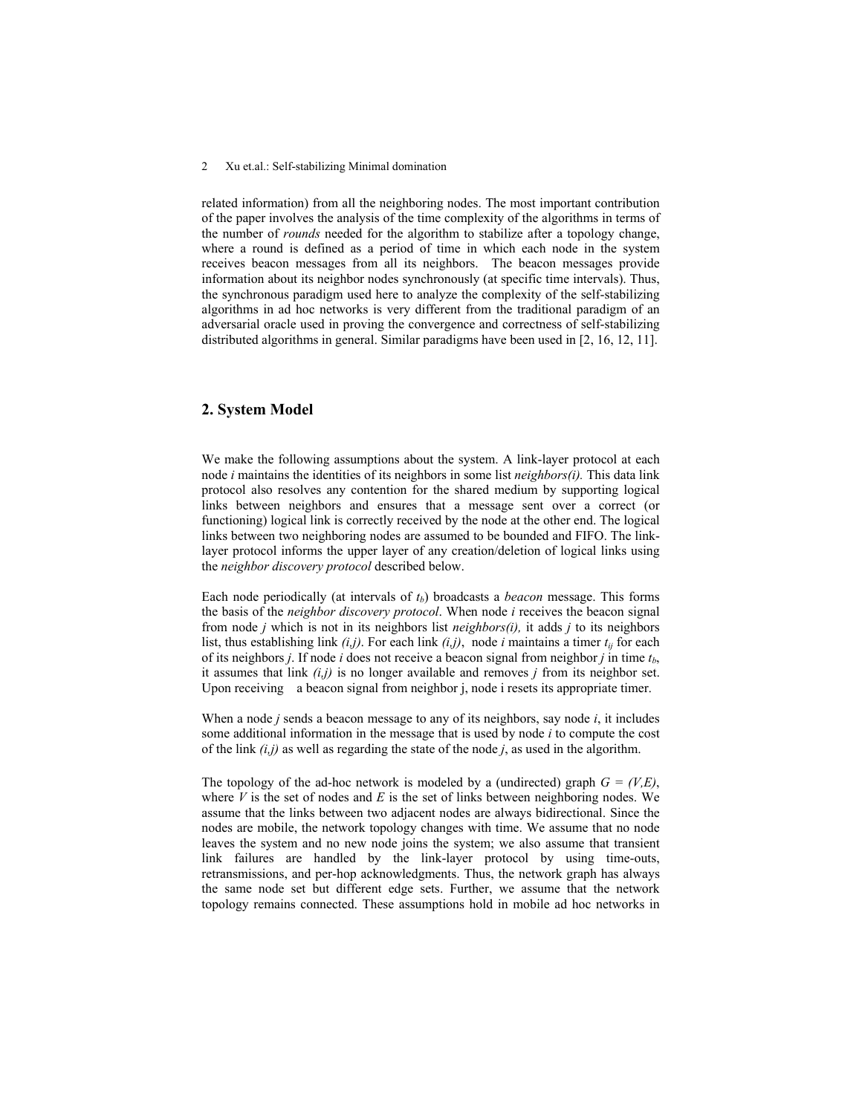#### 2 Xu et.al.: Self-stabilizing Minimal domination

related information) from all the neighboring nodes. The most important contribution of the paper involves the analysis of the time complexity of the algorithms in terms of the number of *rounds* needed for the algorithm to stabilize after a topology change, where a round is defined as a period of time in which each node in the system receives beacon messages from all its neighbors. The beacon messages provide information about its neighbor nodes synchronously (at specific time intervals). Thus, the synchronous paradigm used here to analyze the complexity of the self-stabilizing algorithms in ad hoc networks is very different from the traditional paradigm of an adversarial oracle used in proving the convergence and correctness of self-stabilizing distributed algorithms in general. Similar paradigms have been used in [2, 16, 12, 11].

### **2. System Model**

We make the following assumptions about the system. A link-layer protocol at each node *i* maintains the identities of its neighbors in some list *neighbors(i).* This data link protocol also resolves any contention for the shared medium by supporting logical links between neighbors and ensures that a message sent over a correct (or functioning) logical link is correctly received by the node at the other end. The logical links between two neighboring nodes are assumed to be bounded and FIFO. The linklayer protocol informs the upper layer of any creation/deletion of logical links using the *neighbor discovery protocol* described below.

Each node periodically (at intervals of  $t_b$ ) broadcasts a *beacon* message. This forms the basis of the *neighbor discovery protocol*. When node *i* receives the beacon signal from node *j* which is not in its neighbors list *neighbors(i),* it adds *j* to its neighbors list, thus establishing link  $(i,j)$ . For each link  $(i,j)$ , node *i* maintains a timer  $t_{ij}$  for each of its neighbors *j*. If node *i* does not receive a beacon signal from neighbor *j* in time *tb*, it assumes that link *(i,j)* is no longer available and removes *j* from its neighbor set. Upon receiving a beacon signal from neighbor j, node i resets its appropriate timer.

When a node *j* sends a beacon message to any of its neighbors, say node *i*, it includes some additional information in the message that is used by node *i* to compute the cost of the link *(i,j)* as well as regarding the state of the node *j*, as used in the algorithm.

The topology of the ad-hoc network is modeled by a (undirected) graph  $G = (V, E)$ , where *V* is the set of nodes and *E* is the set of links between neighboring nodes. We assume that the links between two adjacent nodes are always bidirectional. Since the nodes are mobile, the network topology changes with time. We assume that no node leaves the system and no new node joins the system; we also assume that transient link failures are handled by the link-layer protocol by using time-outs, retransmissions, and per-hop acknowledgments. Thus, the network graph has always the same node set but different edge sets. Further, we assume that the network topology remains connected. These assumptions hold in mobile ad hoc networks in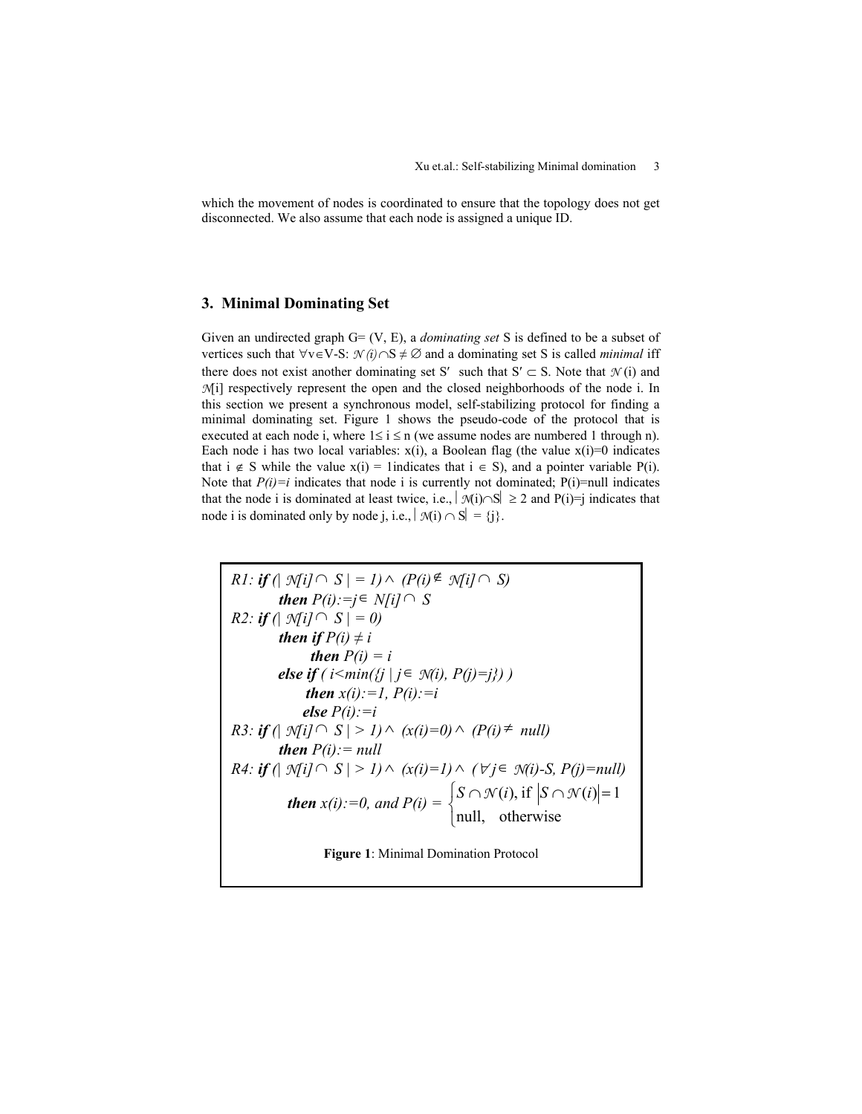which the movement of nodes is coordinated to ensure that the topology does not get disconnected. We also assume that each node is assigned a unique ID.

#### **3. Minimal Dominating Set**

Given an undirected graph G= (V, E), a *dominating set* S is defined to be a subset of vertices such that ∀v∈V-S: *N (i)* ∩S ≠ ∅ and a dominating set S is called *minimal* iff there does not exist another dominating set S' such that  $S' \subset S$ . Note that  $\mathcal{N}(i)$  and *M*<sup>i</sup>] respectively represent the open and the closed neighborhoods of the node i. In this section we present a synchronous model, self-stabilizing protocol for finding a minimal dominating set. Figure 1 shows the pseudo-code of the protocol that is executed at each node i, where  $1 \le i \le n$  (we assume nodes are numbered 1 through n). Each node i has two local variables:  $x(i)$ , a Boolean flag (the value  $x(i)=0$  indicates that i  $\notin$  S while the value x(i) = 1indicates that  $i \in S$ ), and a pointer variable P(i). Note that  $P(i)=i$  indicates that node i is currently not dominated;  $P(i)=\text{null}$  indicates that the node i is dominated at least twice, i.e.,  $|\mathcal{M}(i) \cap S| \ge 2$  and  $P(i)=j$  indicates that node i is dominated only by node j, i.e.,  $|\mathcal{N}(i) \cap S| = \{j\}$ .

R1: *if* (| *M[i]* ∩ S | = 1) ∧ (*P(i)* ∉ *M[i]* ∩ S)  
\n*then* 
$$
P(i)
$$
:=j ∈  $N[i]$  ∩ S  
\nR2: *if* (| *M[i]* ∩ S | = 0)  
\n*then if*  $P(i) \neq i$   
\n*then*  $P(i) = i$   
\n*else if* (*i* < *min*(*if* | *j* ∈ *M(i)*,  $P(j)=j$ ))  
\n*then*  $x(i)$ :=1,  $P(i)$ :=*i*  
\nR3: *if* (| *M[i]* ∩ S | > 1) ∧ (*x(i)* = 0) ∧ (*P(i)* ≠ *null*)  
\n*then*  $P(i)$ := *null*  
\nR4: *if* (| *M[i]* ∩ S | > 1) ∧ (*x(i)* = 1) ∧ (*forall* ∈ *M(i)*-S,  $P(j)$ =*null*)  
\n*then*  $x(i)$ :=0, *and*  $P(i)$  = 
$$
\begin{cases} S \cap W(i), \text{ if } |S \cap W(i)| = 1 \\ \text{null}, \text{ otherwise} \end{cases}
$$

**Figure 1**: Minimal Domination Protocol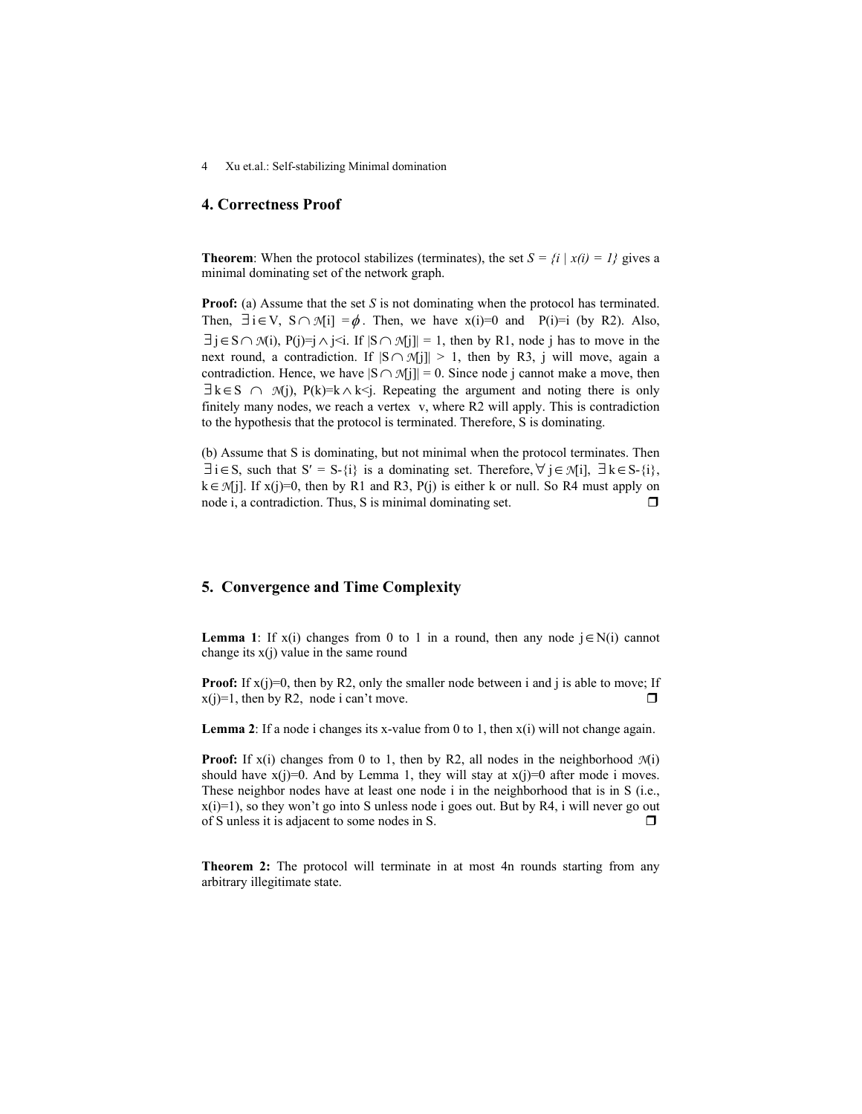4 Xu et.al.: Self-stabilizing Minimal domination

### **4. Correctness Proof**

**Theorem**: When the protocol stabilizes (terminates), the set  $S = \{i \mid x(i) = 1\}$  gives a minimal dominating set of the network graph.

**Proof:** (a) Assume that the set *S* is not dominating when the protocol has terminated. Then,  $\exists i \in V$ ,  $S \cap \mathcal{M}[i] = \phi$ . Then, we have  $x(i)=0$  and  $P(i)=i$  (by R2). Also, ∃j∈S∩ *N*(i), P(j)=j ∧ j<i. If |S∩ *N*[j]| = 1, then by R1, node j has to move in the next round, a contradiction. If |S∩ *N*[j]| > 1, then by R3, j will move, again a contradiction. Hence, we have  $|S \cap \mathcal{N}| = 0$ . Since node j cannot make a move, then  $\exists k \in S \cap M$ (i), P(k)=k  $\wedge$  k<i. Repeating the argument and noting there is only finitely many nodes, we reach a vertex v, where R2 will apply. This is contradiction to the hypothesis that the protocol is terminated. Therefore, S is dominating.

(b) Assume that S is dominating, but not minimal when the protocol terminates. Then  $\exists i \in S$ , such that  $S' = S - \{i\}$  is a dominating set. Therefore,  $\forall j \in \mathcal{M}$ [i],  $\exists k \in S - \{i\}$ , k∈*N*[j]. If x(j)=0, then by R1 and R3, P(j) is either k or null. So R4 must apply on node i, a contradiction. Thus, S is minimal dominating set.  $\Box$ 

### **5. Convergence and Time Complexity**

**Lemma 1**: If  $x(i)$  changes from 0 to 1 in a round, then any node  $i \in N(i)$  cannot change its  $x(i)$  value in the same round

**Proof:** If  $x(j)=0$ , then by R2, only the smaller node between i and j is able to move; If  $x(i)=1$ , then by R2, node i can't move.

**Lemma 2**: If a node i changes its x-value from 0 to 1, then  $x(i)$  will not change again.

**Proof:** If x(i) changes from 0 to 1, then by R2, all nodes in the neighborhood  $\mathcal{N}(i)$ should have  $x(i)=0$ . And by Lemma 1, they will stay at  $x(i)=0$  after mode i moves. These neighbor nodes have at least one node i in the neighborhood that is in S (i.e.,  $x(i)=1$ , so they won't go into S unless node i goes out. But by R4, i will never go out of S unless it is adjacent to some nodes in S.

**Theorem 2:** The protocol will terminate in at most 4n rounds starting from any arbitrary illegitimate state.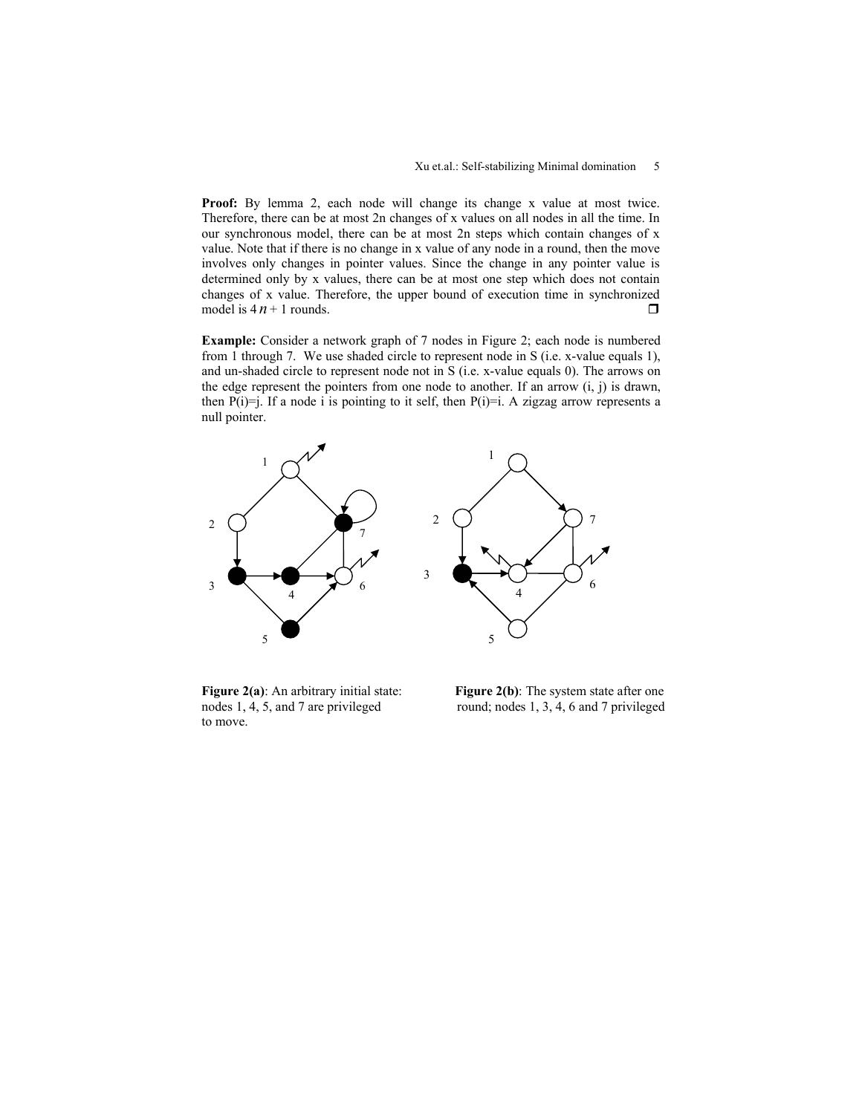Proof: By lemma 2, each node will change its change x value at most twice. Therefore, there can be at most 2n changes of x values on all nodes in all the time. In our synchronous model, there can be at most 2n steps which contain changes of x value. Note that if there is no change in x value of any node in a round, then the move involves only changes in pointer values. Since the change in any pointer value is determined only by x values, there can be at most one step which does not contain changes of x value. Therefore, the upper bound of execution time in synchronized model is  $4n + 1$  rounds.

**Example:** Consider a network graph of 7 nodes in Figure 2; each node is numbered from 1 through 7. We use shaded circle to represent node in S (i.e. x-value equals 1), and un-shaded circle to represent node not in S (i.e. x-value equals 0). The arrows on the edge represent the pointers from one node to another. If an arrow (i, j) is drawn, then  $P(i)=j$ . If a node i is pointing to it self, then  $P(i)=i$ . A zigzag arrow represents a null pointer.



to move.

**Figure 2(a)**: An arbitrary initial state: **Figure 2(b)**: The system state after one nodes 1, 4, 5, and 7 are privileged round; nodes 1, 3, 4, 6 and 7 privileged round; nodes  $1, 3, 4, 6$  and  $7$  privileged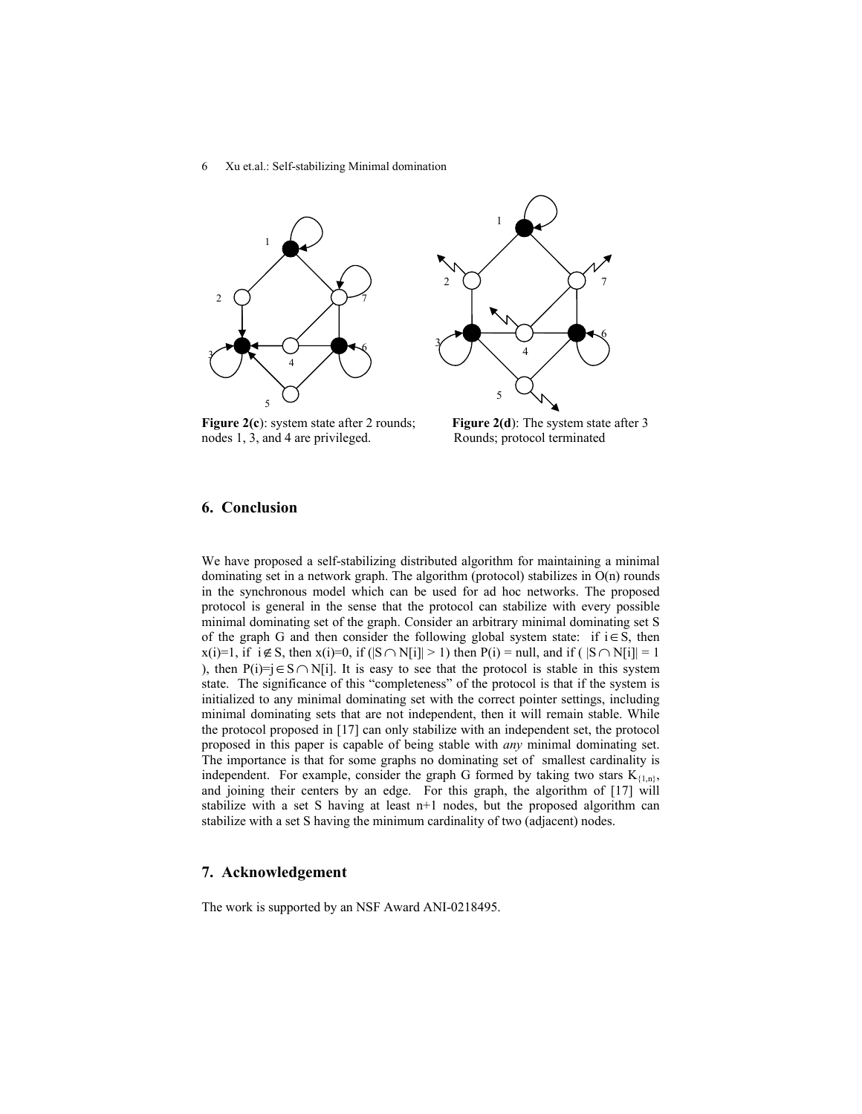6 Xu et.al.: Self-stabilizing Minimal domination



nodes 1, 3, and 4 are privileged. Rounds; protocol terminated

**Figure 2(c):** system state after 2 rounds; **Figure 2(d):** The system state after 3

6

7

#### **6. Conclusion**

We have proposed a self-stabilizing distributed algorithm for maintaining a minimal dominating set in a network graph. The algorithm (protocol) stabilizes in O(n) rounds in the synchronous model which can be used for ad hoc networks. The proposed protocol is general in the sense that the protocol can stabilize with every possible minimal dominating set of the graph. Consider an arbitrary minimal dominating set S of the graph G and then consider the following global system state: if  $i \in S$ , then  $x(i)=1$ , if  $i \notin S$ , then  $x(i)=0$ , if  $(|S \cap N[i]| > 1)$  then  $P(i) = \text{null}$ , and if  $(|S \cap N[i]| = 1)$ ), then  $P(i)=j \in S \cap N[i]$ . It is easy to see that the protocol is stable in this system state. The significance of this "completeness" of the protocol is that if the system is initialized to any minimal dominating set with the correct pointer settings, including minimal dominating sets that are not independent, then it will remain stable. While the protocol proposed in [17] can only stabilize with an independent set, the protocol proposed in this paper is capable of being stable with *any* minimal dominating set. The importance is that for some graphs no dominating set of smallest cardinality is independent. For example, consider the graph G formed by taking two stars  $K_{1,n}$ , and joining their centers by an edge. For this graph, the algorithm of [17] will stabilize with a set S having at least n+1 nodes, but the proposed algorithm can stabilize with a set S having the minimum cardinality of two (adjacent) nodes.

#### **7. Acknowledgement**

The work is supported by an NSF Award ANI-0218495.